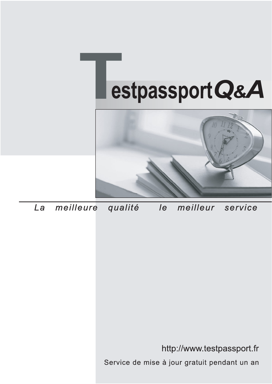



meilleure La qualité  $\overline{e}$ meilleur service

http://www.testpassport.fr

Service de mise à jour gratuit pendant un an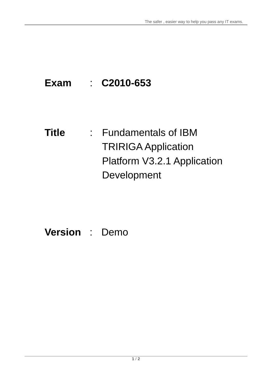# **Exam** : **C2010-653**

**Title** : Fundamentals of IBM TRIRIGA Application Platform V3.2.1 Application Development

# **Version** : Demo